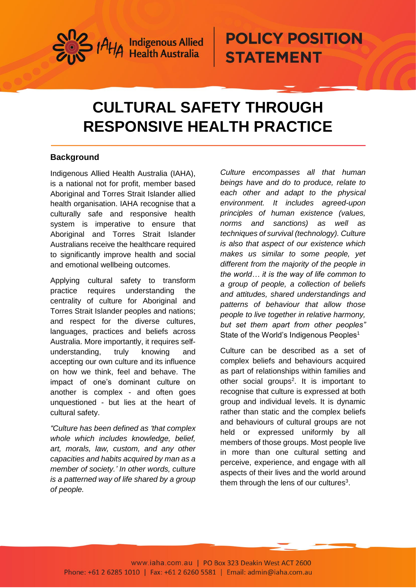

### **CULTURAL SAFETY THROUGH RESPONSIVE HEALTH PRACTICE**

#### **Background**

Indigenous Allied Health Australia (IAHA), is a national not for profit, member based Aboriginal and Torres Strait Islander allied health organisation. IAHA recognise that a culturally safe and responsive health system is imperative to ensure that Aboriginal and Torres Strait Islander Australians receive the healthcare required to significantly improve health and social and emotional wellbeing outcomes.

Applying cultural safety to transform practice requires understanding the centrality of culture for Aboriginal and Torres Strait Islander peoples and nations; and respect for the diverse cultures, languages, practices and beliefs across Australia. More importantly, it requires selfunderstanding, truly knowing and accepting our own culture and its influence on how we think, feel and behave. The impact of one's dominant culture on another is complex - and often goes unquestioned - but lies at the heart of cultural safety.

*"Culture has been defined as 'that complex whole which includes knowledge, belief, art, morals, law, custom, and any other capacities and habits acquired by man as a member of society.' In other words, culture is a patterned way of life shared by a group of people.* 

*Culture encompasses all that human beings have and do to produce, relate to each other and adapt to the physical environment. It includes agreed-upon principles of human existence (values, norms and sanctions) as well as techniques of survival (technology). Culture is also that aspect of our existence which makes us similar to some people, yet different from the majority of the people in the world… it is the way of life common to a group of people, a collection of beliefs and attitudes, shared understandings and patterns of behaviour that allow those people to live together in relative harmony, but set them apart from other peoples"* State of the World's Indigenous Peoples<sup>1</sup>

Culture can be described as a set of complex beliefs and behaviours acquired as part of relationships within families and other social groups<sup>2</sup>. It is important to recognise that culture is expressed at both group and individual levels. It is dynamic rather than static and the complex beliefs and behaviours of cultural groups are not held or expressed uniformly by all members of those groups. Most people live in more than one cultural setting and perceive, experience, and engage with all aspects of their lives and the world around them through the lens of our cultures $3$ .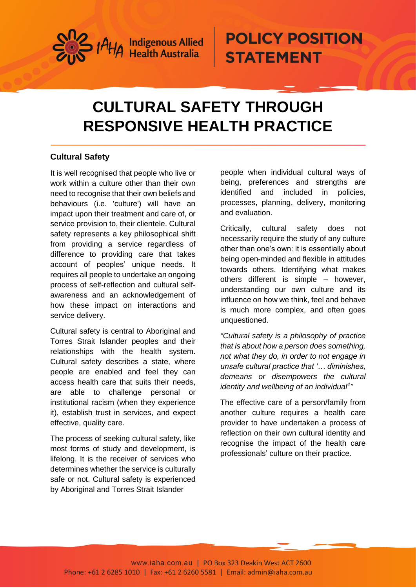

### **CULTURAL SAFETY THROUGH RESPONSIVE HEALTH PRACTICE**

#### **Cultural Safety**

It is well recognised that people who live or work within a culture other than their own need to recognise that their own beliefs and behaviours (i.e. 'culture') will have an impact upon their treatment and care of, or service provision to, their clientele. Cultural safety represents a key philosophical shift from providing a service regardless of difference to providing care that takes account of peoples' unique needs. It requires all people to undertake an ongoing process of self‐reflection and cultural self‐ awareness and an acknowledgement of how these impact on interactions and service delivery.

Cultural safety is central to Aboriginal and Torres Strait Islander peoples and their relationships with the health system. Cultural safety describes a state, where people are enabled and feel they can access health care that suits their needs, are able to challenge personal or institutional racism (when they experience it), establish trust in services, and expect effective, quality care.

The process of seeking cultural safety, like most forms of study and development, is lifelong. It is the receiver of services who determines whether the service is culturally safe or not. Cultural safety is experienced by Aboriginal and Torres Strait Islander

people when individual cultural ways of being, preferences and strengths are identified and included in policies, processes, planning, delivery, monitoring and evaluation.

Critically, cultural safety does not necessarily require the study of any culture other than one's own: it is essentially about being open‐minded and flexible in attitudes towards others. Identifying what makes others different is simple – however, understanding our own culture and its influence on how we think, feel and behave is much more complex, and often goes unquestioned.

*"Cultural safety is a philosophy of practice that is about how a person does something, not what they do, in order to not engage in unsafe cultural practice that '… diminishes, demeans or disempowers the cultural identity and wellbeing of an individual<sup>4</sup> "*

The effective care of a person/family from another culture requires a health care provider to have undertaken a process of reflection on their own cultural identity and recognise the impact of the health care professionals' culture on their practice.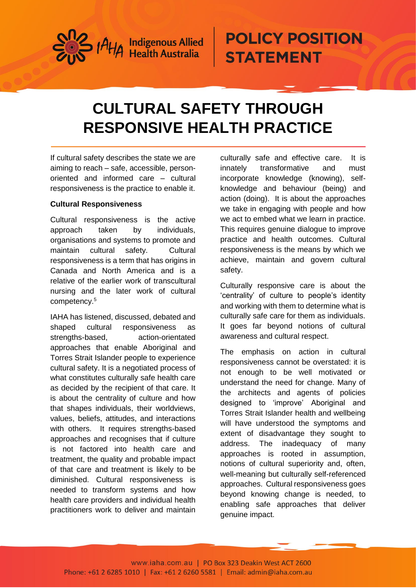

### **CULTURAL SAFETY THROUGH RESPONSIVE HEALTH PRACTICE**

If cultural safety describes the state we are aiming to reach – safe, accessible, personoriented and informed care – cultural responsiveness is the practice to enable it.

#### **Cultural Responsiveness**

Cultural responsiveness is the active approach taken by individuals, organisations and systems to promote and maintain cultural safety. Cultural responsiveness is a term that has origins in Canada and North America and is a relative of the earlier work of transcultural nursing and the later work of cultural competency. 5

IAHA has listened, discussed, debated and shaped cultural responsiveness as strengths-based, action-orientated approaches that enable Aboriginal and Torres Strait Islander people to experience cultural safety. It is a negotiated process of what constitutes culturally safe health care as decided by the recipient of that care. It is about the centrality of culture and how that shapes individuals, their worldviews, values, beliefs, attitudes, and interactions with others. It requires strengths-based approaches and recognises that if culture is not factored into health care and treatment, the quality and probable impact of that care and treatment is likely to be diminished. Cultural responsiveness is needed to transform systems and how health care providers and individual health practitioners work to deliver and maintain

culturally safe and effective care. It is innately transformative and must incorporate knowledge (knowing), selfknowledge and behaviour (being) and action (doing). It is about the approaches we take in engaging with people and how we act to embed what we learn in practice. This requires genuine dialogue to improve practice and health outcomes. Cultural responsiveness is the means by which we achieve, maintain and govern cultural safety.

Culturally responsive care is about the 'centrality' of culture to people's identity and working with them to determine what is culturally safe care for them as individuals. It goes far beyond notions of cultural awareness and cultural respect.

The emphasis on action in cultural responsiveness cannot be overstated: it is not enough to be well motivated or understand the need for change. Many of the architects and agents of policies designed to 'improve' Aboriginal and Torres Strait Islander health and wellbeing will have understood the symptoms and extent of disadvantage they sought to address. The inadequacy of many approaches is rooted in assumption, notions of cultural superiority and, often, well-meaning but culturally self-referenced approaches. Cultural responsiveness goes beyond knowing change is needed, to enabling safe approaches that deliver genuine impact.